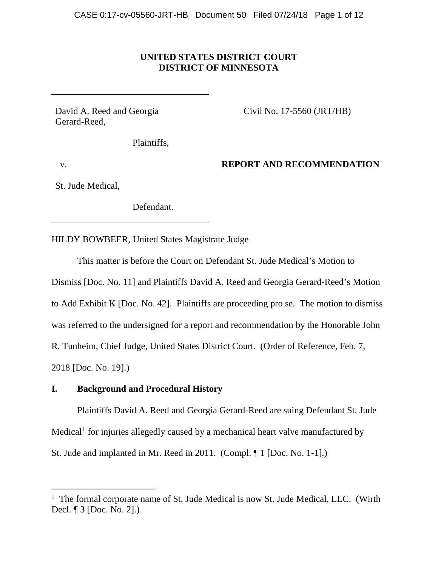# **UNITED STATES DISTRICT COURT DISTRICT OF MINNESOTA**

David A. Reed and Georgia Gerard-Reed,

Civil No. 17-5560 (JRT/HB)

Plaintiffs,

v.

# **REPORT AND RECOMMENDATION**

St. Jude Medical,

Defendant.

HILDY BOWBEER, United States Magistrate Judge

This matter is before the Court on Defendant St. Jude Medical's Motion to Dismiss [Doc. No. 11] and Plaintiffs David A. Reed and Georgia Gerard-Reed's Motion to Add Exhibit K [Doc. No. 42]. Plaintiffs are proceeding pro se. The motion to dismiss was referred to the undersigned for a report and recommendation by the Honorable John R. Tunheim, Chief Judge, United States District Court. (Order of Reference, Feb. 7, 2018 [Doc. No. 19].)

# **I. Background and Procedural History**

Plaintiffs David A. Reed and Georgia Gerard-Reed are suing Defendant St. Jude Medical<sup>1</sup> for injuries allegedly caused by a mechanical heart valve manufactured by St. Jude and implanted in Mr. Reed in 2011. (Compl. ¶ 1 [Doc. No. 1-1].)

 $1$  The formal corporate name of St. Jude Medical is now St. Jude Medical, LLC. (Wirth Decl. ¶ 3 [Doc. No. 2].)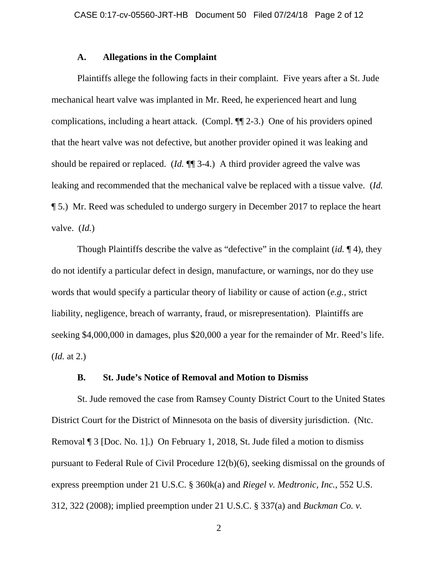### **A. Allegations in the Complaint**

Plaintiffs allege the following facts in their complaint. Five years after a St. Jude mechanical heart valve was implanted in Mr. Reed, he experienced heart and lung complications, including a heart attack. (Compl. ¶¶ 2-3.) One of his providers opined that the heart valve was not defective, but another provider opined it was leaking and should be repaired or replaced. (*Id.* ¶¶ 3-4.) A third provider agreed the valve was leaking and recommended that the mechanical valve be replaced with a tissue valve. (*Id.* ¶ 5.) Mr. Reed was scheduled to undergo surgery in December 2017 to replace the heart valve. (*Id.*)

Though Plaintiffs describe the valve as "defective" in the complaint (*id.* ¶ 4), they do not identify a particular defect in design, manufacture, or warnings, nor do they use words that would specify a particular theory of liability or cause of action (*e.g.,* strict liability, negligence, breach of warranty, fraud, or misrepresentation). Plaintiffs are seeking \$4,000,000 in damages, plus \$20,000 a year for the remainder of Mr. Reed's life. (*Id.* at 2.)

## **B. St. Jude's Notice of Removal and Motion to Dismiss**

St. Jude removed the case from Ramsey County District Court to the United States District Court for the District of Minnesota on the basis of diversity jurisdiction. (Ntc. Removal ¶ 3 [Doc. No. 1].) On February 1, 2018, St. Jude filed a motion to dismiss pursuant to Federal Rule of Civil Procedure 12(b)(6), seeking dismissal on the grounds of express preemption under 21 U.S.C. § 360k(a) and *Riegel v. Medtronic, Inc.*, 552 U.S. 312, 322 (2008); implied preemption under 21 U.S.C. § 337(a) and *Buckman Co. v.*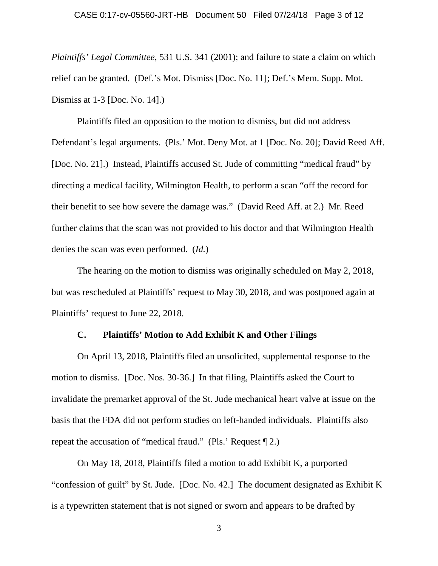*Plaintiffs' Legal Committee*, 531 U.S. 341 (2001); and failure to state a claim on which relief can be granted. (Def.'s Mot. Dismiss [Doc. No. 11]; Def.'s Mem. Supp. Mot. Dismiss at 1-3 [Doc. No. 14].)

Plaintiffs filed an opposition to the motion to dismiss, but did not address Defendant's legal arguments. (Pls.' Mot. Deny Mot. at 1 [Doc. No. 20]; David Reed Aff. [Doc. No. 21].) Instead, Plaintiffs accused St. Jude of committing "medical fraud" by directing a medical facility, Wilmington Health, to perform a scan "off the record for their benefit to see how severe the damage was." (David Reed Aff. at 2.) Mr. Reed further claims that the scan was not provided to his doctor and that Wilmington Health denies the scan was even performed. (*Id.*)

The hearing on the motion to dismiss was originally scheduled on May 2, 2018, but was rescheduled at Plaintiffs' request to May 30, 2018, and was postponed again at Plaintiffs' request to June 22, 2018.

### **C. Plaintiffs' Motion to Add Exhibit K and Other Filings**

On April 13, 2018, Plaintiffs filed an unsolicited, supplemental response to the motion to dismiss. [Doc. Nos. 30-36.] In that filing, Plaintiffs asked the Court to invalidate the premarket approval of the St. Jude mechanical heart valve at issue on the basis that the FDA did not perform studies on left-handed individuals. Plaintiffs also repeat the accusation of "medical fraud." (Pls.' Request ¶ 2.)

On May 18, 2018, Plaintiffs filed a motion to add Exhibit K, a purported "confession of guilt" by St. Jude. [Doc. No. 42.] The document designated as Exhibit K is a typewritten statement that is not signed or sworn and appears to be drafted by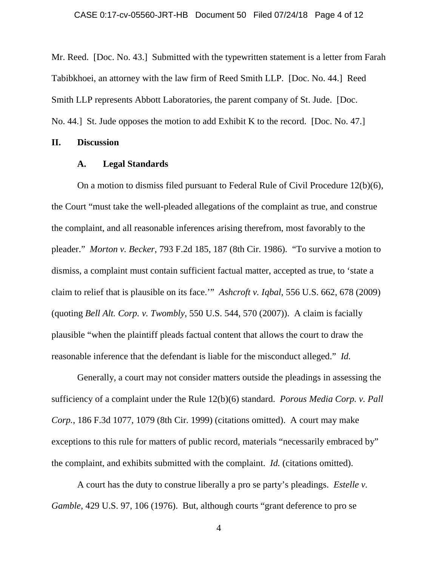Mr. Reed. [Doc. No. 43.] Submitted with the typewritten statement is a letter from Farah Tabibkhoei, an attorney with the law firm of Reed Smith LLP. [Doc. No. 44.] Reed Smith LLP represents Abbott Laboratories, the parent company of St. Jude. [Doc. No. 44.] St. Jude opposes the motion to add Exhibit K to the record. [Doc. No. 47.]

### **II. Discussion**

### **A. Legal Standards**

On a motion to dismiss filed pursuant to Federal Rule of Civil Procedure 12(b)(6), the Court "must take the well-pleaded allegations of the complaint as true, and construe the complaint, and all reasonable inferences arising therefrom, most favorably to the pleader." *Morton v. Becker*, 793 F.2d 185, 187 (8th Cir. 1986). "To survive a motion to dismiss, a complaint must contain sufficient factual matter, accepted as true, to 'state a claim to relief that is plausible on its face.'" *Ashcroft v. Iqbal*, 556 U.S. 662, 678 (2009) (quoting *Bell Alt. Corp. v. Twombly*, 550 U.S. 544, 570 (2007)). A claim is facially plausible "when the plaintiff pleads factual content that allows the court to draw the reasonable inference that the defendant is liable for the misconduct alleged." *Id.*

Generally, a court may not consider matters outside the pleadings in assessing the sufficiency of a complaint under the Rule 12(b)(6) standard. *Porous Media Corp. v. Pall Corp.*, 186 F.3d 1077, 1079 (8th Cir. 1999) (citations omitted). A court may make exceptions to this rule for matters of public record, materials "necessarily embraced by" the complaint, and exhibits submitted with the complaint. *Id.* (citations omitted).

A court has the duty to construe liberally a pro se party's pleadings. *Estelle v. Gamble*, 429 U.S. 97, 106 (1976). But, although courts "grant deference to pro se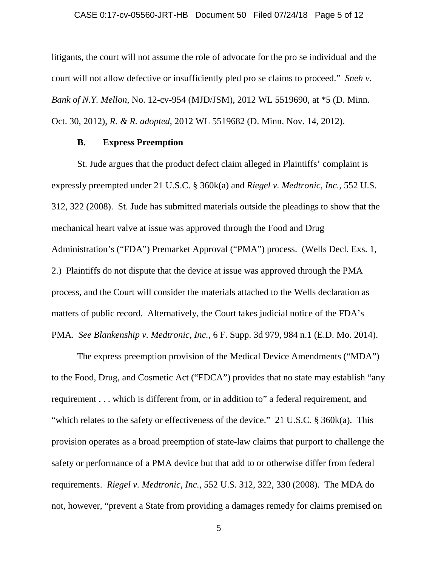#### CASE 0:17-cv-05560-JRT-HB Document 50 Filed 07/24/18 Page 5 of 12

litigants, the court will not assume the role of advocate for the pro se individual and the court will not allow defective or insufficiently pled pro se claims to proceed." *Sneh v. Bank of N.Y. Mellon*, No. 12-cv-954 (MJD/JSM), 2012 WL 5519690, at \*5 (D. Minn. Oct. 30, 2012), *R. & R. adopted*, 2012 WL 5519682 (D. Minn. Nov. 14, 2012).

## **B. Express Preemption**

St. Jude argues that the product defect claim alleged in Plaintiffs' complaint is expressly preempted under 21 U.S.C. § 360k(a) and *Riegel v. Medtronic, Inc.*, 552 U.S. 312, 322 (2008). St. Jude has submitted materials outside the pleadings to show that the mechanical heart valve at issue was approved through the Food and Drug Administration's ("FDA") Premarket Approval ("PMA") process. (Wells Decl. Exs. 1, 2.) Plaintiffs do not dispute that the device at issue was approved through the PMA process, and the Court will consider the materials attached to the Wells declaration as matters of public record. Alternatively, the Court takes judicial notice of the FDA's PMA. *See Blankenship v. Medtronic, Inc.*, 6 F. Supp. 3d 979, 984 n.1 (E.D. Mo. 2014).

The express preemption provision of the Medical Device Amendments ("MDA") to the Food, Drug, and Cosmetic Act ("FDCA") provides that no state may establish "any requirement . . . which is different from, or in addition to" a federal requirement, and "which relates to the safety or effectiveness of the device." 21 U.S.C. § 360k(a). This provision operates as a broad preemption of state-law claims that purport to challenge the safety or performance of a PMA device but that add to or otherwise differ from federal requirements. *Riegel v. Medtronic, Inc.*, 552 U.S. 312, 322, 330 (2008). The MDA do not, however, "prevent a State from providing a damages remedy for claims premised on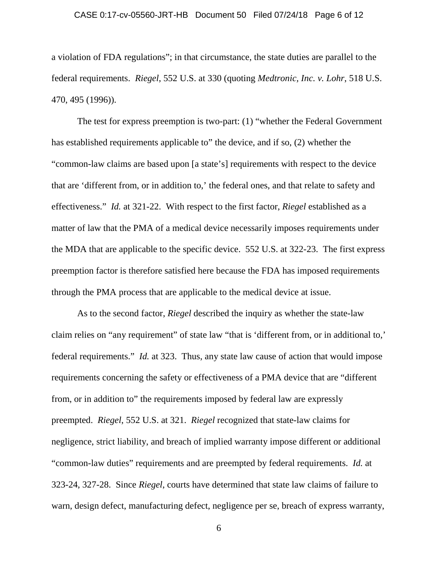#### CASE 0:17-cv-05560-JRT-HB Document 50 Filed 07/24/18 Page 6 of 12

a violation of FDA regulations"; in that circumstance, the state duties are parallel to the federal requirements. *Riegel*, 552 U.S. at 330 (quoting *Medtronic, Inc. v. Lohr*, 518 U.S. 470, 495 (1996)).

The test for express preemption is two-part: (1) "whether the Federal Government has established requirements applicable to" the device, and if so, (2) whether the "common-law claims are based upon [a state's] requirements with respect to the device that are 'different from, or in addition to,' the federal ones, and that relate to safety and effectiveness." *Id.* at 321-22. With respect to the first factor, *Riegel* established as a matter of law that the PMA of a medical device necessarily imposes requirements under the MDA that are applicable to the specific device. 552 U.S. at 322-23. The first express preemption factor is therefore satisfied here because the FDA has imposed requirements through the PMA process that are applicable to the medical device at issue.

As to the second factor, *Riegel* described the inquiry as whether the state-law claim relies on "any requirement" of state law "that is 'different from, or in additional to,' federal requirements." *Id.* at 323. Thus, any state law cause of action that would impose requirements concerning the safety or effectiveness of a PMA device that are "different from, or in addition to" the requirements imposed by federal law are expressly preempted. *Riegel*, 552 U.S. at 321. *Riegel* recognized that state-law claims for negligence, strict liability, and breach of implied warranty impose different or additional "common-law duties" requirements and are preempted by federal requirements. *Id.* at 323-24, 327-28. Since *Riegel*, courts have determined that state law claims of failure to warn, design defect, manufacturing defect, negligence per se, breach of express warranty,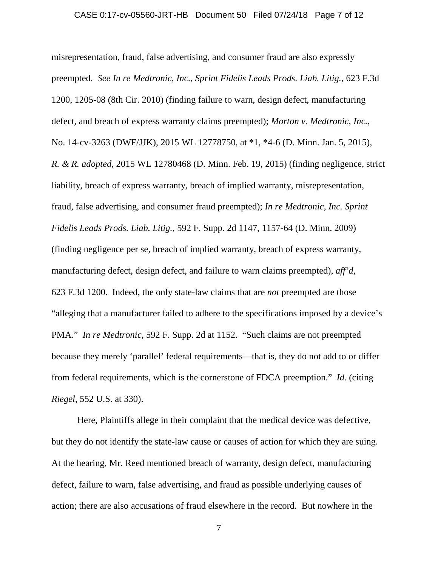#### CASE 0:17-cv-05560-JRT-HB Document 50 Filed 07/24/18 Page 7 of 12

misrepresentation, fraud, false advertising, and consumer fraud are also expressly preempted. *See In re Medtronic, Inc., Sprint Fidelis Leads Prods. Liab. Litig.*, 623 F.3d 1200, 1205-08 (8th Cir. 2010) (finding failure to warn, design defect, manufacturing defect, and breach of express warranty claims preempted); *Morton v. Medtronic, Inc.*, No. 14-cv-3263 (DWF/JJK), 2015 WL 12778750, at \*1, \*4-6 (D. Minn. Jan. 5, 2015), *R. & R. adopted*, 2015 WL 12780468 (D. Minn. Feb. 19, 2015) (finding negligence, strict liability, breach of express warranty, breach of implied warranty, misrepresentation, fraud, false advertising, and consumer fraud preempted); *In re Medtronic, Inc. Sprint Fidelis Leads Prods. Liab. Litig.*, 592 F. Supp. 2d 1147, 1157-64 (D. Minn. 2009) (finding negligence per se, breach of implied warranty, breach of express warranty, manufacturing defect, design defect, and failure to warn claims preempted), *aff'd*, 623 F.3d 1200. Indeed, the only state-law claims that are *not* preempted are those "alleging that a manufacturer failed to adhere to the specifications imposed by a device's PMA." *In re Medtronic*, 592 F. Supp. 2d at 1152. "Such claims are not preempted because they merely 'parallel' federal requirements—that is, they do not add to or differ from federal requirements, which is the cornerstone of FDCA preemption." *Id.* (citing *Riegel*, 552 U.S. at 330).

Here, Plaintiffs allege in their complaint that the medical device was defective, but they do not identify the state-law cause or causes of action for which they are suing. At the hearing, Mr. Reed mentioned breach of warranty, design defect, manufacturing defect, failure to warn, false advertising, and fraud as possible underlying causes of action; there are also accusations of fraud elsewhere in the record. But nowhere in the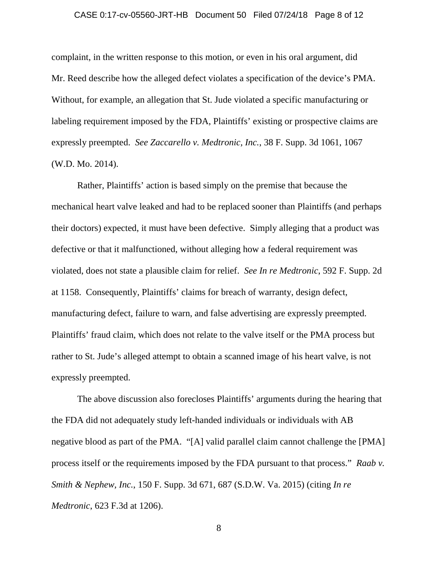#### CASE 0:17-cv-05560-JRT-HB Document 50 Filed 07/24/18 Page 8 of 12

complaint, in the written response to this motion, or even in his oral argument, did Mr. Reed describe how the alleged defect violates a specification of the device's PMA. Without, for example, an allegation that St. Jude violated a specific manufacturing or labeling requirement imposed by the FDA, Plaintiffs' existing or prospective claims are expressly preempted. *See Zaccarello v. Medtronic, Inc.*, 38 F. Supp. 3d 1061, 1067 (W.D. Mo. 2014).

Rather, Plaintiffs' action is based simply on the premise that because the mechanical heart valve leaked and had to be replaced sooner than Plaintiffs (and perhaps their doctors) expected, it must have been defective. Simply alleging that a product was defective or that it malfunctioned, without alleging how a federal requirement was violated, does not state a plausible claim for relief. *See In re Medtronic*, 592 F. Supp. 2d at 1158. Consequently, Plaintiffs' claims for breach of warranty, design defect, manufacturing defect, failure to warn, and false advertising are expressly preempted. Plaintiffs' fraud claim, which does not relate to the valve itself or the PMA process but rather to St. Jude's alleged attempt to obtain a scanned image of his heart valve, is not expressly preempted.

The above discussion also forecloses Plaintiffs' arguments during the hearing that the FDA did not adequately study left-handed individuals or individuals with AB negative blood as part of the PMA. "[A] valid parallel claim cannot challenge the [PMA] process itself or the requirements imposed by the FDA pursuant to that process." *Raab v. Smith & Nephew, Inc.*, 150 F. Supp. 3d 671, 687 (S.D.W. Va. 2015) (citing *In re Medtronic*, 623 F.3d at 1206).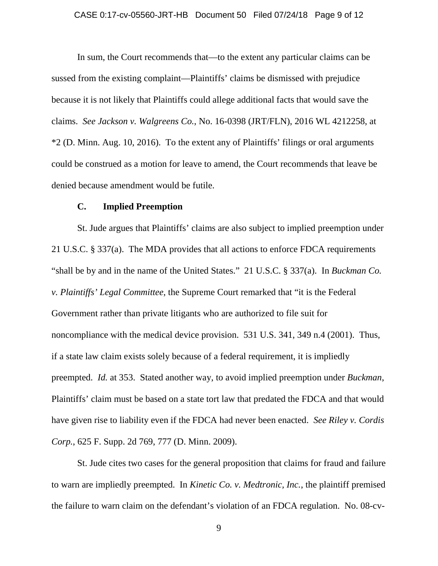#### CASE 0:17-cv-05560-JRT-HB Document 50 Filed 07/24/18 Page 9 of 12

In sum, the Court recommends that—to the extent any particular claims can be sussed from the existing complaint—Plaintiffs' claims be dismissed with prejudice because it is not likely that Plaintiffs could allege additional facts that would save the claims. *See Jackson v. Walgreens Co.*, No. 16-0398 (JRT/FLN), 2016 WL 4212258, at \*2 (D. Minn. Aug. 10, 2016). To the extent any of Plaintiffs' filings or oral arguments could be construed as a motion for leave to amend, the Court recommends that leave be denied because amendment would be futile.

### **C. Implied Preemption**

St. Jude argues that Plaintiffs' claims are also subject to implied preemption under 21 U.S.C. § 337(a). The MDA provides that all actions to enforce FDCA requirements "shall be by and in the name of the United States." 21 U.S.C. § 337(a). In *Buckman Co. v. Plaintiffs' Legal Committee*, the Supreme Court remarked that "it is the Federal Government rather than private litigants who are authorized to file suit for noncompliance with the medical device provision. 531 U.S. 341, 349 n.4 (2001). Thus, if a state law claim exists solely because of a federal requirement, it is impliedly preempted. *Id.* at 353. Stated another way, to avoid implied preemption under *Buckman*, Plaintiffs' claim must be based on a state tort law that predated the FDCA and that would have given rise to liability even if the FDCA had never been enacted. *See Riley v. Cordis Corp.*, 625 F. Supp. 2d 769, 777 (D. Minn. 2009).

St. Jude cites two cases for the general proposition that claims for fraud and failure to warn are impliedly preempted. In *Kinetic Co. v. Medtronic, Inc.*, the plaintiff premised the failure to warn claim on the defendant's violation of an FDCA regulation. No. 08-cv-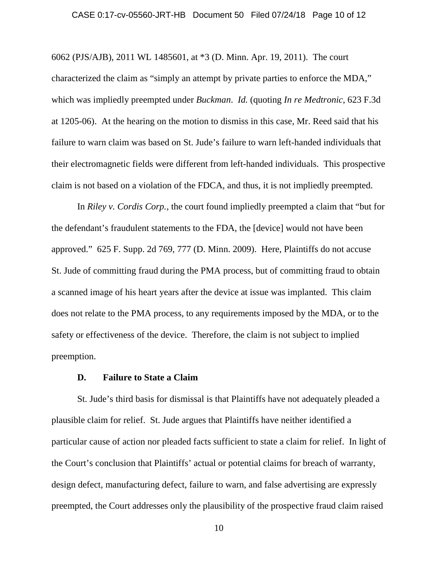#### CASE 0:17-cv-05560-JRT-HB Document 50 Filed 07/24/18 Page 10 of 12

6062 (PJS/AJB), 2011 WL 1485601, at \*3 (D. Minn. Apr. 19, 2011). The court characterized the claim as "simply an attempt by private parties to enforce the MDA," which was impliedly preempted under *Buckman*. *Id.* (quoting *In re Medtronic*, 623 F.3d at 1205-06). At the hearing on the motion to dismiss in this case, Mr. Reed said that his failure to warn claim was based on St. Jude's failure to warn left-handed individuals that their electromagnetic fields were different from left-handed individuals. This prospective claim is not based on a violation of the FDCA, and thus, it is not impliedly preempted.

In *Riley v. Cordis Corp.*, the court found impliedly preempted a claim that "but for the defendant's fraudulent statements to the FDA, the [device] would not have been approved." 625 F. Supp. 2d 769, 777 (D. Minn. 2009). Here, Plaintiffs do not accuse St. Jude of committing fraud during the PMA process, but of committing fraud to obtain a scanned image of his heart years after the device at issue was implanted. This claim does not relate to the PMA process, to any requirements imposed by the MDA, or to the safety or effectiveness of the device. Therefore, the claim is not subject to implied preemption.

#### **D. Failure to State a Claim**

St. Jude's third basis for dismissal is that Plaintiffs have not adequately pleaded a plausible claim for relief. St. Jude argues that Plaintiffs have neither identified a particular cause of action nor pleaded facts sufficient to state a claim for relief. In light of the Court's conclusion that Plaintiffs' actual or potential claims for breach of warranty, design defect, manufacturing defect, failure to warn, and false advertising are expressly preempted, the Court addresses only the plausibility of the prospective fraud claim raised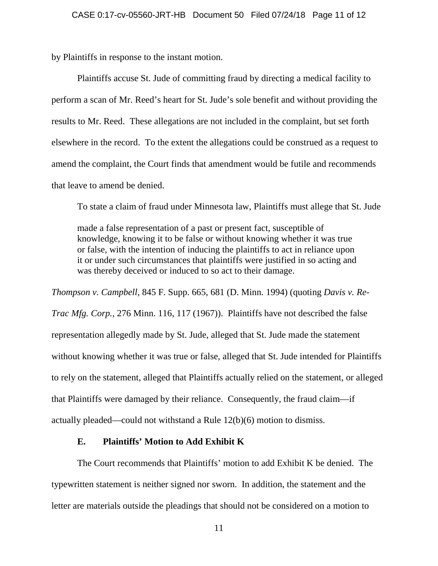by Plaintiffs in response to the instant motion.

Plaintiffs accuse St. Jude of committing fraud by directing a medical facility to perform a scan of Mr. Reed's heart for St. Jude's sole benefit and without providing the results to Mr. Reed. These allegations are not included in the complaint, but set forth elsewhere in the record. To the extent the allegations could be construed as a request to amend the complaint, the Court finds that amendment would be futile and recommends that leave to amend be denied.

To state a claim of fraud under Minnesota law, Plaintiffs must allege that St. Jude

made a false representation of a past or present fact, susceptible of knowledge, knowing it to be false or without knowing whether it was true or false, with the intention of inducing the plaintiffs to act in reliance upon it or under such circumstances that plaintiffs were justified in so acting and was thereby deceived or induced to so act to their damage.

*Thompson v. Campbell*, 845 F. Supp. 665, 681 (D. Minn. 1994) (quoting *Davis v. Re-Trac Mfg. Corp.*, 276 Minn. 116, 117 (1967)). Plaintiffs have not described the false representation allegedly made by St. Jude, alleged that St. Jude made the statement without knowing whether it was true or false, alleged that St. Jude intended for Plaintiffs to rely on the statement, alleged that Plaintiffs actually relied on the statement, or alleged that Plaintiffs were damaged by their reliance. Consequently, the fraud claim—if actually pleaded—could not withstand a Rule 12(b)(6) motion to dismiss.

# **E. Plaintiffs' Motion to Add Exhibit K**

The Court recommends that Plaintiffs' motion to add Exhibit K be denied. The typewritten statement is neither signed nor sworn. In addition, the statement and the letter are materials outside the pleadings that should not be considered on a motion to